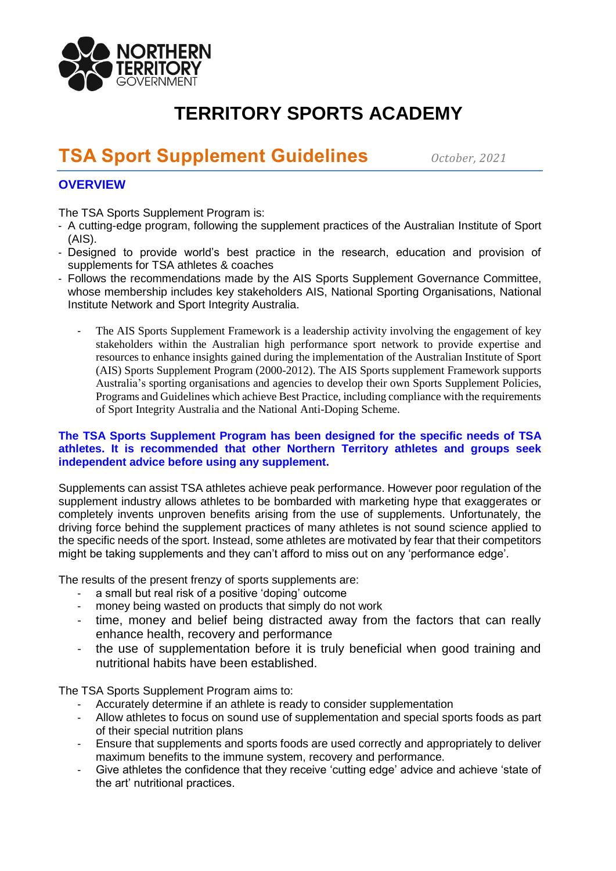

# **TSA Sport Supplement Guidelines** *October, 2021*

### **OVERVIEW**

The TSA Sports Supplement Program is:

- A cutting-edge program, following the supplement practices of the Australian Institute of Sport (AIS).
- Designed to provide world's best practice in the research, education and provision of supplements for TSA athletes & coaches
- Follows the recommendations made by the AIS Sports Supplement Governance Committee, whose membership includes key stakeholders AIS, National Sporting Organisations, National Institute Network and Sport Integrity Australia.
	- The AIS Sports Supplement Framework is a leadership activity involving the engagement of key stakeholders within the Australian high performance sport network to provide expertise and resources to enhance insights gained during the implementation of the Australian Institute of Sport (AIS) Sports Supplement Program (2000-2012). The AIS Sports supplement Framework supports Australia's sporting organisations and agencies to develop their own Sports Supplement Policies, Programs and Guidelines which achieve Best Practice, including compliance with the requirements of Sport Integrity Australia and the National Anti-Doping Scheme.

#### **The TSA Sports Supplement Program has been designed for the specific needs of TSA athletes. It is recommended that other Northern Territory athletes and groups seek independent advice before using any supplement.**

Supplements can assist TSA athletes achieve peak performance. However poor regulation of the supplement industry allows athletes to be bombarded with marketing hype that exaggerates or completely invents unproven benefits arising from the use of supplements. Unfortunately, the driving force behind the supplement practices of many athletes is not sound science applied to the specific needs of the sport. Instead, some athletes are motivated by fear that their competitors might be taking supplements and they can't afford to miss out on any 'performance edge'.

The results of the present frenzy of sports supplements are:

- a small but real risk of a positive 'doping' outcome
- money being wasted on products that simply do not work
- time, money and belief being distracted away from the factors that can really enhance health, recovery and performance
- the use of supplementation before it is truly beneficial when good training and nutritional habits have been established.

The TSA Sports Supplement Program aims to:

- Accurately determine if an athlete is ready to consider supplementation
- Allow athletes to focus on sound use of supplementation and special sports foods as part of their special nutrition plans
- Ensure that supplements and sports foods are used correctly and appropriately to deliver maximum benefits to the immune system, recovery and performance.
- Give athletes the confidence that they receive 'cutting edge' advice and achieve 'state of the art' nutritional practices.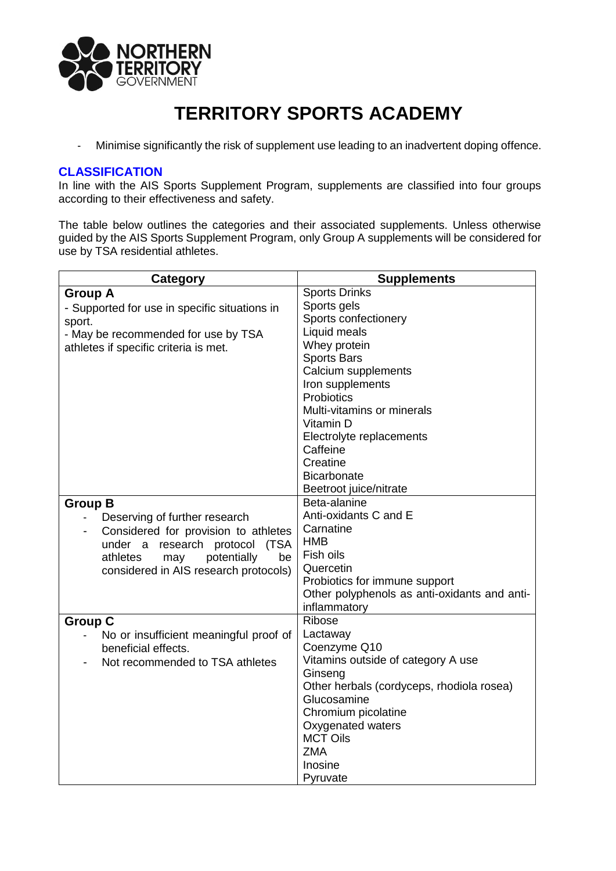

- Minimise significantly the risk of supplement use leading to an inadvertent doping offence.

#### **CLASSIFICATION**

In line with the AIS Sports Supplement Program, supplements are classified into four groups according to their effectiveness and safety.

The table below outlines the categories and their associated supplements. Unless otherwise guided by the AIS Sports Supplement Program, only Group A supplements will be considered for use by TSA residential athletes.

| <b>Category</b>                                               | <b>Supplements</b>                                                            |
|---------------------------------------------------------------|-------------------------------------------------------------------------------|
| <b>Group A</b>                                                | <b>Sports Drinks</b>                                                          |
| - Supported for use in specific situations in                 | Sports gels                                                                   |
| sport.                                                        | Sports confectionery                                                          |
| - May be recommended for use by TSA                           | Liquid meals                                                                  |
| athletes if specific criteria is met.                         | Whey protein                                                                  |
|                                                               | <b>Sports Bars</b>                                                            |
|                                                               | Calcium supplements                                                           |
|                                                               | Iron supplements                                                              |
|                                                               | Probiotics                                                                    |
|                                                               | Multi-vitamins or minerals                                                    |
|                                                               | Vitamin D                                                                     |
|                                                               | Electrolyte replacements                                                      |
|                                                               | Caffeine                                                                      |
|                                                               | Creatine                                                                      |
|                                                               | <b>Bicarbonate</b>                                                            |
|                                                               | Beetroot juice/nitrate                                                        |
| <b>Group B</b>                                                | Beta-alanine                                                                  |
| Deserving of further research                                 | Anti-oxidants C and E                                                         |
| Considered for provision to athletes                          | Carnatine                                                                     |
| under a research protocol<br>(TSA                             | <b>HMB</b>                                                                    |
| potentially<br>athletes<br>may<br>be                          | Fish oils                                                                     |
| considered in AIS research protocols)                         | Quercetin                                                                     |
|                                                               | Probiotics for immune support<br>Other polyphenols as anti-oxidants and anti- |
|                                                               | inflammatory                                                                  |
| <b>Group C</b>                                                | Ribose                                                                        |
|                                                               | Lactaway                                                                      |
| No or insufficient meaningful proof of<br>beneficial effects. | Coenzyme Q10                                                                  |
| Not recommended to TSA athletes                               | Vitamins outside of category A use                                            |
|                                                               | Ginseng                                                                       |
|                                                               | Other herbals (cordyceps, rhodiola rosea)                                     |
|                                                               | Glucosamine                                                                   |
|                                                               | Chromium picolatine                                                           |
|                                                               | Oxygenated waters                                                             |
|                                                               | <b>MCT Oils</b>                                                               |
|                                                               | <b>ZMA</b>                                                                    |
|                                                               | Inosine                                                                       |
|                                                               | Pyruvate                                                                      |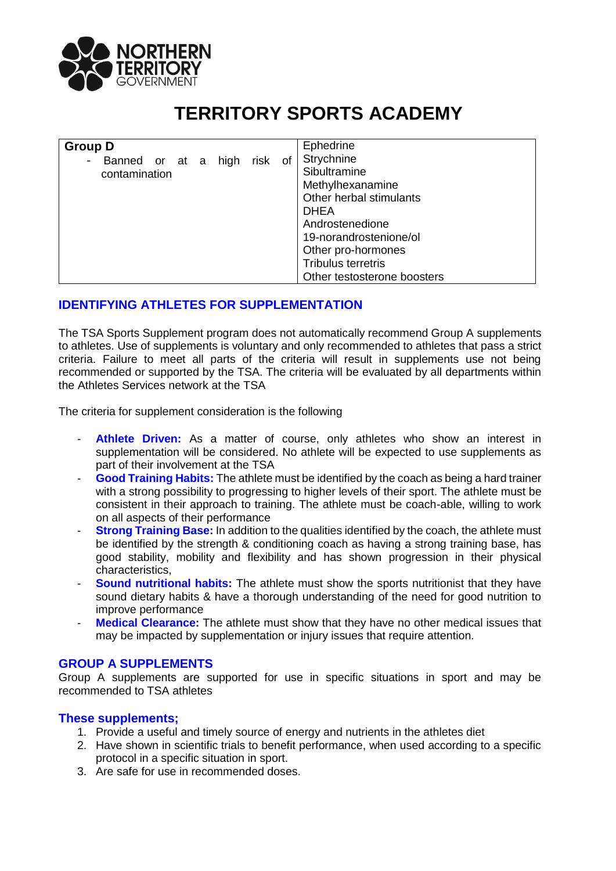

| <b>Group D</b><br>Banned or at a<br>contamination | high | risk | οf | Ephedrine<br>Strychnine<br>Sibultramine<br>Methylhexanamine<br>Other herbal stimulants<br><b>DHEA</b><br>Androstenedione<br>19-norandrostenione/ol<br>Other pro-hormones<br><b>Tribulus terretris</b> |
|---------------------------------------------------|------|------|----|-------------------------------------------------------------------------------------------------------------------------------------------------------------------------------------------------------|
|                                                   |      |      |    | Other testosterone boosters                                                                                                                                                                           |

### **IDENTIFYING ATHLETES FOR SUPPLEMENTATION**

The TSA Sports Supplement program does not automatically recommend Group A supplements to athletes. Use of supplements is voluntary and only recommended to athletes that pass a strict criteria. Failure to meet all parts of the criteria will result in supplements use not being recommended or supported by the TSA. The criteria will be evaluated by all departments within the Athletes Services network at the TSA

The criteria for supplement consideration is the following

- Athlete Driven: As a matter of course, only athletes who show an interest in supplementation will be considered. No athlete will be expected to use supplements as part of their involvement at the TSA
- **Good Training Habits:** The athlete must be identified by the coach as being a hard trainer with a strong possibility to progressing to higher levels of their sport. The athlete must be consistent in their approach to training. The athlete must be coach-able, willing to work on all aspects of their performance
- **Strong Training Base:** In addition to the qualities identified by the coach, the athlete must be identified by the strength & conditioning coach as having a strong training base, has good stability, mobility and flexibility and has shown progression in their physical characteristics,
- **Sound nutritional habits:** The athlete must show the sports nutritionist that they have sound dietary habits & have a thorough understanding of the need for good nutrition to improve performance
- **Medical Clearance:** The athlete must show that they have no other medical issues that may be impacted by supplementation or injury issues that require attention.

### **GROUP A SUPPLEMENTS**

Group A supplements are supported for use in specific situations in sport and may be recommended to TSA athletes

### **These supplements;**

- 1. Provide a useful and timely source of energy and nutrients in the athletes diet
- 2. Have shown in scientific trials to benefit performance, when used according to a specific protocol in a specific situation in sport.
- 3. Are safe for use in recommended doses.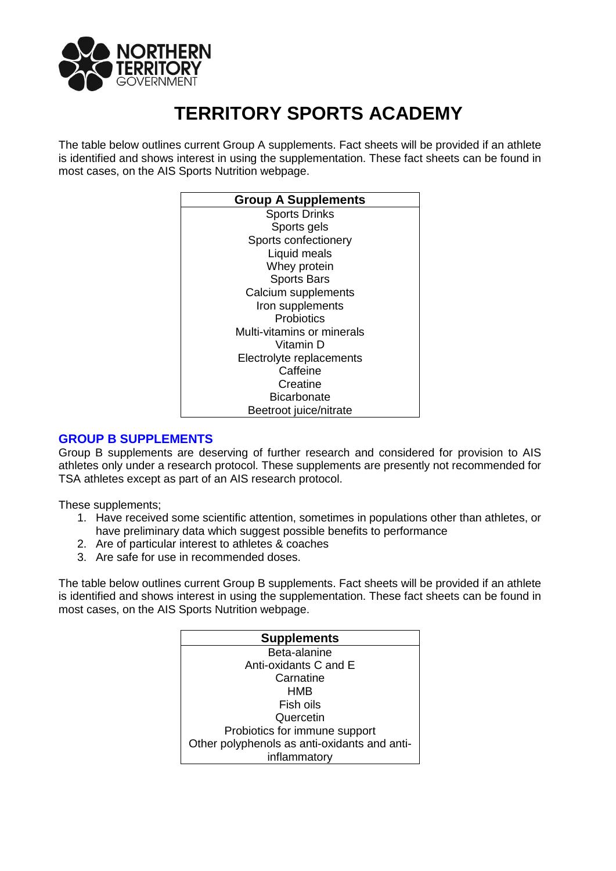

The table below outlines current Group A supplements. Fact sheets will be provided if an athlete is identified and shows interest in using the supplementation. These fact sheets can be found in most cases, on the AIS Sports Nutrition webpage.

| <b>Group A Supplements</b> |
|----------------------------|
| <b>Sports Drinks</b>       |
| Sports gels                |
| Sports confectionery       |
| Liquid meals               |
| Whey protein               |
| <b>Sports Bars</b>         |
| Calcium supplements        |
| Iron supplements           |
| Probiotics                 |
| Multi-vitamins or minerals |
| Vitamin D                  |
| Electrolyte replacements   |
| Caffeine                   |
| Creatine                   |
| <b>Bicarbonate</b>         |
| Beetroot juice/nitrate     |

### **GROUP B SUPPLEMENTS**

Group B supplements are deserving of further research and considered for provision to AIS athletes only under a research protocol. These supplements are presently not recommended for TSA athletes except as part of an AIS research protocol.

These supplements;

- 1. Have received some scientific attention, sometimes in populations other than athletes, or have preliminary data which suggest possible benefits to performance
- 2. Are of particular interest to athletes & coaches
- 3. Are safe for use in recommended doses.

The table below outlines current Group B supplements. Fact sheets will be provided if an athlete is identified and shows interest in using the supplementation. These fact sheets can be found in most cases, on the AIS Sports Nutrition webpage.

| <b>Supplements</b>                           |
|----------------------------------------------|
| Beta-alanine                                 |
| Anti-oxidants C and E                        |
| Carnatine                                    |
| <b>HMB</b>                                   |
| Fish oils                                    |
| Quercetin                                    |
| Probiotics for immune support                |
| Other polyphenols as anti-oxidants and anti- |
| inflammatory                                 |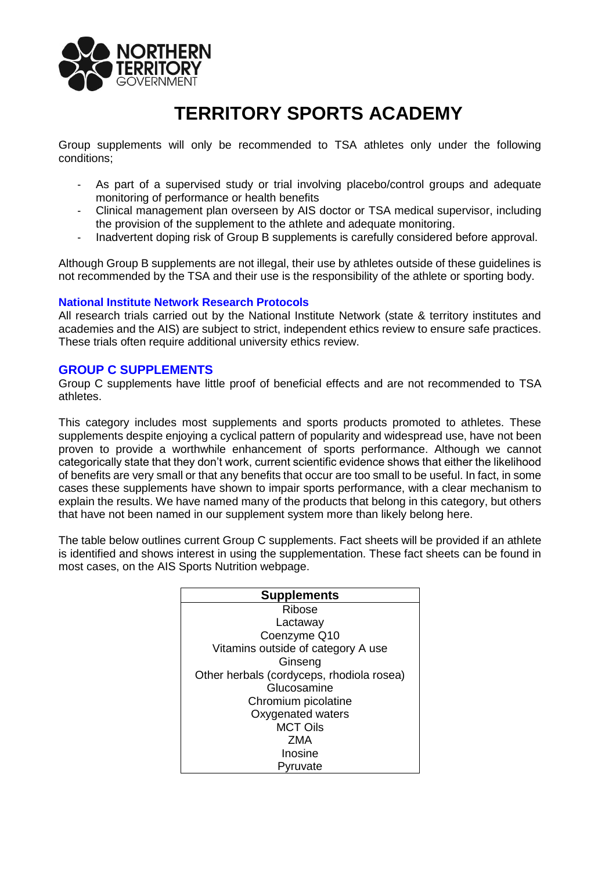

Group supplements will only be recommended to TSA athletes only under the following conditions;

- As part of a supervised study or trial involving placebo/control groups and adequate monitoring of performance or health benefits
- Clinical management plan overseen by AIS doctor or TSA medical supervisor, including the provision of the supplement to the athlete and adequate monitoring.
- Inadvertent doping risk of Group B supplements is carefully considered before approval.

Although Group B supplements are not illegal, their use by athletes outside of these guidelines is not recommended by the TSA and their use is the responsibility of the athlete or sporting body.

#### **National Institute Network Research Protocols**

All research trials carried out by the National Institute Network (state & territory institutes and academies and the AIS) are subject to strict, independent ethics review to ensure safe practices. These trials often require additional university ethics review.

#### **GROUP C SUPPLEMENTS**

Group C supplements have little proof of beneficial effects and are not recommended to TSA athletes.

This category includes most supplements and sports products promoted to athletes. These supplements despite enjoying a cyclical pattern of popularity and widespread use, have not been proven to provide a worthwhile enhancement of sports performance. Although we cannot categorically state that they don't work, current scientific evidence shows that either the likelihood of benefits are very small or that any benefits that occur are too small to be useful. In fact, in some cases these supplements have shown to impair sports performance, with a clear mechanism to explain the results. We have named many of the products that belong in this category, but others that have not been named in our supplement system more than likely belong here.

The table below outlines current Group C supplements. Fact sheets will be provided if an athlete is identified and shows interest in using the supplementation. These fact sheets can be found in most cases, on the AIS Sports Nutrition webpage.

| <b>Supplements</b>                        |
|-------------------------------------------|
| Ribose                                    |
| Lactaway                                  |
| Coenzyme Q10                              |
| Vitamins outside of category A use        |
| Ginseng                                   |
| Other herbals (cordyceps, rhodiola rosea) |
| Glucosamine                               |
| Chromium picolatine                       |
| Oxygenated waters                         |
| <b>MCT Oils</b>                           |
| ZMA                                       |
| Inosine                                   |
| Pvruvate                                  |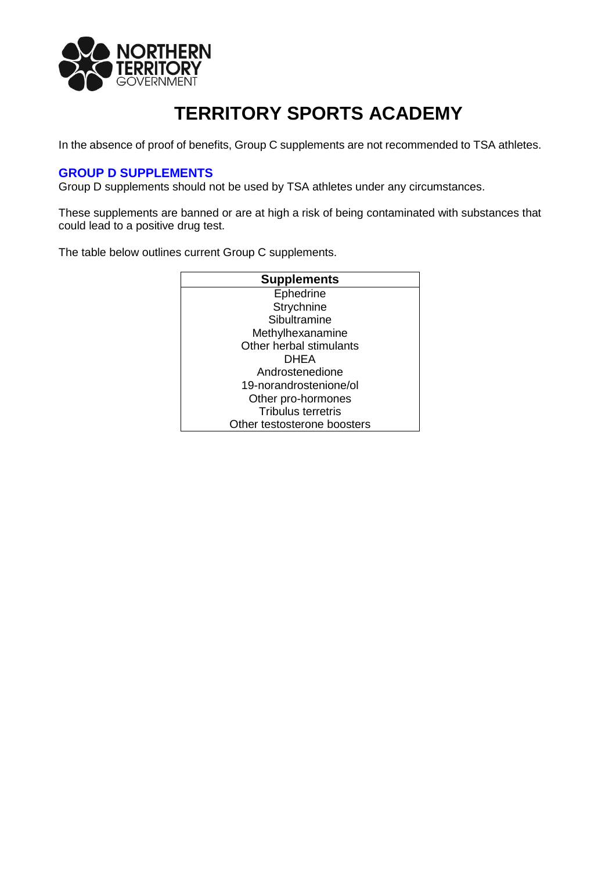

In the absence of proof of benefits, Group C supplements are not recommended to TSA athletes.

#### **GROUP D SUPPLEMENTS**

Group D supplements should not be used by TSA athletes under any circumstances.

These supplements are banned or are at high a risk of being contaminated with substances that could lead to a positive drug test.

The table below outlines current Group C supplements.

| <b>Supplements</b>          |
|-----------------------------|
| Ephedrine                   |
| Strychnine                  |
| Sibultramine                |
| Methylhexanamine            |
| Other herbal stimulants     |
| DHEA                        |
| Androstenedione             |
| 19-norandrostenione/ol      |
| Other pro-hormones          |
| <b>Tribulus terretris</b>   |
| Other testosterone boosters |